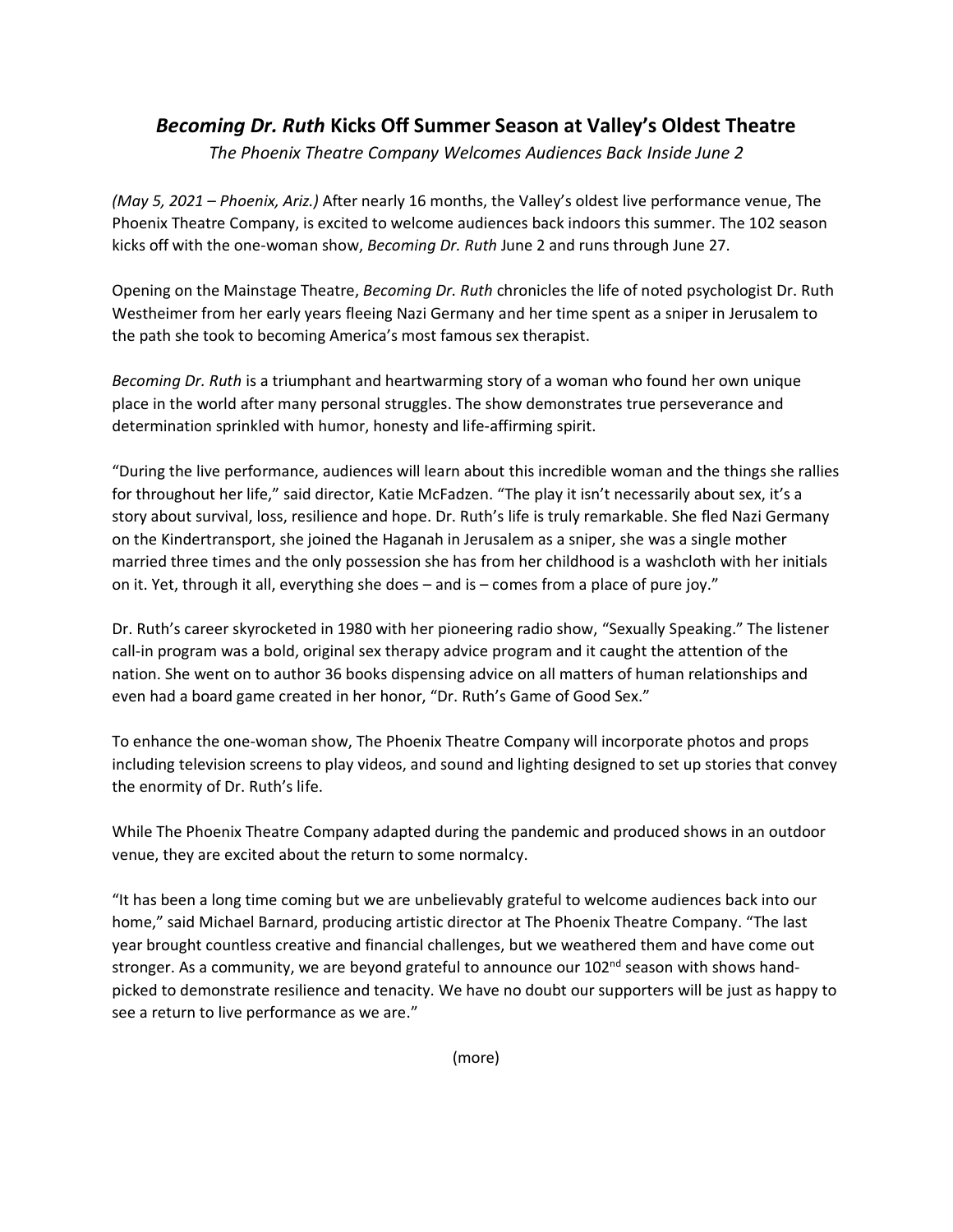## *Becoming Dr. Ruth* **Kicks Off Summer Season at Valley's Oldest Theatre**

*The Phoenix Theatre Company Welcomes Audiences Back Inside June 2* 

*(May 5, 2021 – Phoenix, Ariz.)* After nearly 16 months, the Valley's oldest live performance venue, The Phoenix Theatre Company, is excited to welcome audiences back indoors this summer. The 102 season kicks off with the one-woman show, *Becoming Dr. Ruth* June 2 and runs through June 27.

Opening on the Mainstage Theatre, *Becoming Dr. Ruth* chronicles the life of noted psychologist Dr. Ruth Westheimer from her early years fleeing Nazi Germany and her time spent as a sniper in Jerusalem to the path she took to becoming America's most famous sex therapist.

*Becoming Dr. Ruth* is a triumphant and heartwarming story of a woman who found her own unique place in the world after many personal struggles. The show demonstrates true perseverance and determination sprinkled with humor, honesty and life-affirming spirit.

"During the live performance, audiences will learn about this incredible woman and the things she rallies for throughout her life," said director, Katie McFadzen. "The play it isn't necessarily about sex, it's a story about survival, loss, resilience and hope. Dr. Ruth's life is truly remarkable. She fled Nazi Germany on the Kindertransport, she joined the Haganah in Jerusalem as a sniper, she was a single mother married three times and the only possession she has from her childhood is a washcloth with her initials on it. Yet, through it all, everything she does – and is – comes from a place of pure joy."

Dr. Ruth's career skyrocketed in 1980 with her pioneering radio show, "Sexually Speaking." The listener call-in program was a bold, original sex therapy advice program and it caught the attention of the nation. She went on to author 36 books dispensing advice on all matters of human relationships and even had a board game created in her honor, "Dr. Ruth's Game of Good Sex."

To enhance the one-woman show, The Phoenix Theatre Company will incorporate photos and props including television screens to play videos, and sound and lighting designed to set up stories that convey the enormity of Dr. Ruth's life.

While The Phoenix Theatre Company adapted during the pandemic and produced shows in an outdoor venue, they are excited about the return to some normalcy.

"It has been a long time coming but we are unbelievably grateful to welcome audiences back into our home," said Michael Barnard, producing artistic director at The Phoenix Theatre Company. "The last year brought countless creative and financial challenges, but we weathered them and have come out stronger. As a community, we are beyond grateful to announce our 102<sup>nd</sup> season with shows handpicked to demonstrate resilience and tenacity. We have no doubt our supporters will be just as happy to see a return to live performance as we are."

(more)